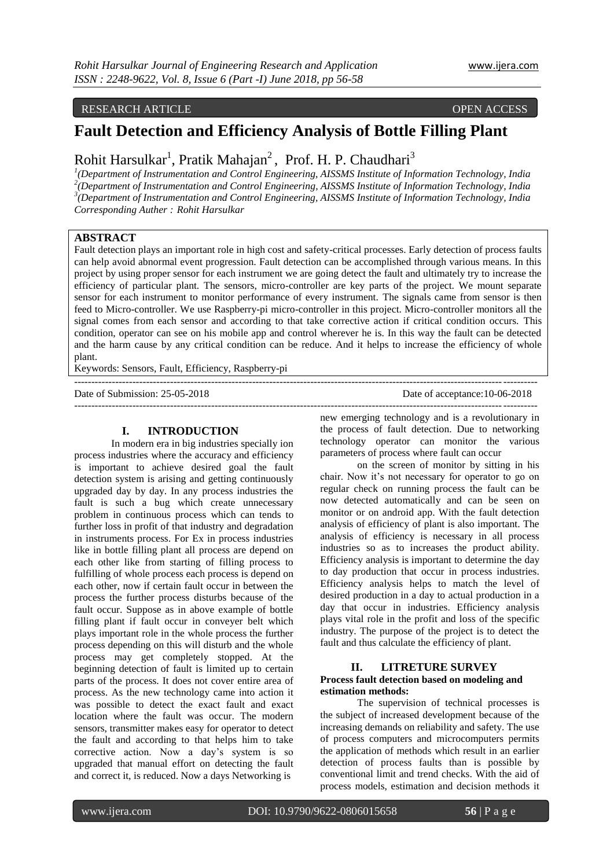# RESEARCH ARTICLE OPEN ACCESS

# **Fault Detection and Efficiency Analysis of Bottle Filling Plant**

# Rohit Harsulkar<sup>1</sup>, Pratik Mahajan<sup>2</sup>, Prof. H. P. Chaudhari<sup>3</sup>

 *(Department of Instrumentation and Control Engineering, AISSMS Institute of Information Technology, India (Department of Instrumentation and Control Engineering, AISSMS Institute of Information Technology, India (Department of Instrumentation and Control Engineering, AISSMS Institute of Information Technology, India Corresponding Auther : Rohit Harsulkar*

# **ABSTRACT**

Fault detection plays an important role in high cost and safety-critical processes. Early detection of process faults can help avoid abnormal event progression. Fault detection can be accomplished through various means. In this project by using proper sensor for each instrument we are going detect the fault and ultimately try to increase the efficiency of particular plant. The sensors, micro-controller are key parts of the project. We mount separate sensor for each instrument to monitor performance of every instrument. The signals came from sensor is then feed to Micro-controller. We use Raspberry-pi micro-controller in this project. Micro-controller monitors all the signal comes from each sensor and according to that take corrective action if critical condition occurs. This condition, operator can see on his mobile app and control wherever he is. In this way the fault can be detected and the harm cause by any critical condition can be reduce. And it helps to increase the efficiency of whole plant.

---------------------------------------------------------------------------------------------------------------------------------------

Keywords: Sensors, Fault, Efficiency, Raspberry-pi

Date of Submission: 25-05-2018 Date of acceptance:10-06-2018

#### **I. INTRODUCTION**

In modern era in big industries specially ion process industries where the accuracy and efficiency is important to achieve desired goal the fault detection system is arising and getting continuously upgraded day by day. In any process industries the fault is such a bug which create unnecessary problem in continuous process which can tends to further loss in profit of that industry and degradation in instruments process. For Ex in process industries like in bottle filling plant all process are depend on each other like from starting of filling process to fulfilling of whole process each process is depend on each other, now if certain fault occur in between the process the further process disturbs because of the fault occur. Suppose as in above example of bottle filling plant if fault occur in conveyer belt which plays important role in the whole process the further process depending on this will disturb and the whole process may get completely stopped. At the beginning detection of fault is limited up to certain parts of the process. It does not cover entire area of process. As the new technology came into action it was possible to detect the exact fault and exact location where the fault was occur. The modern sensors, transmitter makes easy for operator to detect the fault and according to that helps him to take corrective action. Now a day's system is so upgraded that manual effort on detecting the fault and correct it, is reduced. Now a days Networking is

-------------------------------------------------------------------------------------------------------------------------------------- new emerging technology and is a revolutionary in the process of fault detection. Due to networking technology operator can monitor the various parameters of process where fault can occur

on the screen of monitor by sitting in his chair. Now it's not necessary for operator to go on regular check on running process the fault can be now detected automatically and can be seen on monitor or on android app. With the fault detection analysis of efficiency of plant is also important. The analysis of efficiency is necessary in all process industries so as to increases the product ability. Efficiency analysis is important to determine the day to day production that occur in process industries. Efficiency analysis helps to match the level of desired production in a day to actual production in a day that occur in industries. Efficiency analysis plays vital role in the profit and loss of the specific industry. The purpose of the project is to detect the fault and thus calculate the efficiency of plant.

#### **II. LITRETURE SURVEY**

#### **Process fault detection based on modeling and estimation methods:**

The supervision of technical processes is the subject of increased development because of the increasing demands on reliability and safety. The use of process computers and microcomputers permits the application of methods which result in an earlier detection of process faults than is possible by conventional limit and trend checks. With the aid of process models, estimation and decision methods it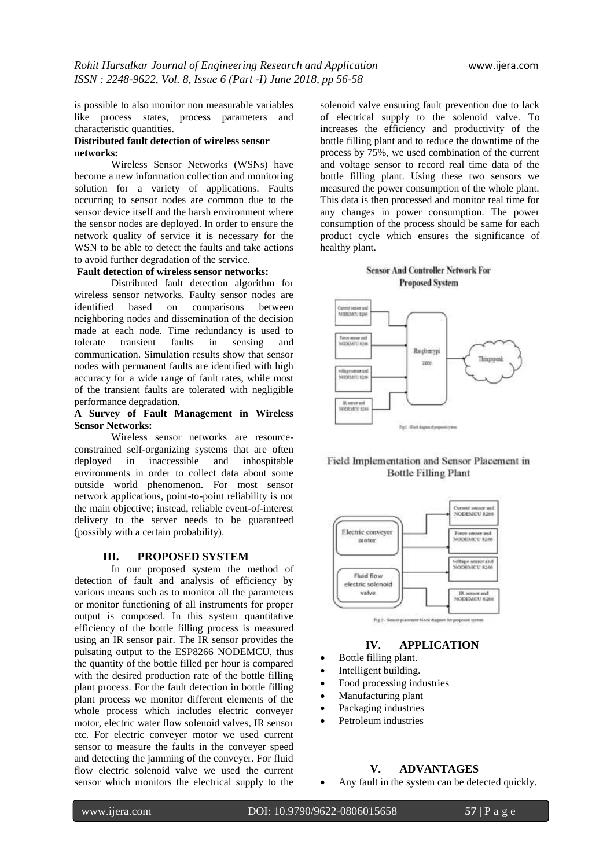is possible to also monitor non measurable variables like process states, process parameters and characteristic quantities.

## **Distributed fault detection of wireless sensor networks:**

Wireless Sensor Networks (WSNs) have become a new information collection and monitoring solution for a variety of applications. Faults occurring to sensor nodes are common due to the sensor device itself and the harsh environment where the sensor nodes are deployed. In order to ensure the network quality of service it is necessary for the WSN to be able to detect the faults and take actions to avoid further degradation of the service.

#### **Fault detection of wireless sensor networks:**

Distributed fault detection algorithm for wireless sensor networks. Faulty sensor nodes are identified based on comparisons between neighboring nodes and dissemination of the decision made at each node. Time redundancy is used to tolerate transient faults in sensing and communication. Simulation results show that sensor nodes with permanent faults are identified with high accuracy for a wide range of fault rates, while most of the transient faults are tolerated with negligible performance degradation.

#### **A Survey of Fault Management in Wireless Sensor Networks:**

Wireless sensor networks are resourceconstrained self-organizing systems that are often deployed in inaccessible and inhospitable environments in order to collect data about some outside world phenomenon. For most sensor network applications, point-to-point reliability is not the main objective; instead, reliable event-of-interest delivery to the server needs to be guaranteed (possibly with a certain probability).

#### **III. PROPOSED SYSTEM**

In our proposed system the method of detection of fault and analysis of efficiency by various means such as to monitor all the parameters or monitor functioning of all instruments for proper output is composed. In this system quantitative efficiency of the bottle filling process is measured using an IR sensor pair. The IR sensor provides the pulsating output to the ESP8266 NODEMCU, thus the quantity of the bottle filled per hour is compared with the desired production rate of the bottle filling plant process. For the fault detection in bottle filling plant process we monitor different elements of the whole process which includes electric conveyer motor, electric water flow solenoid valves, IR sensor etc. For electric conveyer motor we used current sensor to measure the faults in the conveyer speed and detecting the jamming of the conveyer. For fluid flow electric solenoid valve we used the current sensor which monitors the electrical supply to the

solenoid valve ensuring fault prevention due to lack of electrical supply to the solenoid valve. To increases the efficiency and productivity of the bottle filling plant and to reduce the downtime of the process by 75%, we used combination of the current and voltage sensor to record real time data of the bottle filling plant. Using these two sensors we measured the power consumption of the whole plant. This data is then processed and monitor real time for any changes in power consumption. The power consumption of the process should be same for each product cycle which ensures the significance of healthy plant.

### **Sensor And Controller Network For Proposed System**







# **IV. APPLICATION**

- Bottle filling plant.
- Intelligent building.
- Food processing industries
- Manufacturing plant
- Packaging industries
- Petroleum industries

## **V. ADVANTAGES**

Any fault in the system can be detected quickly.